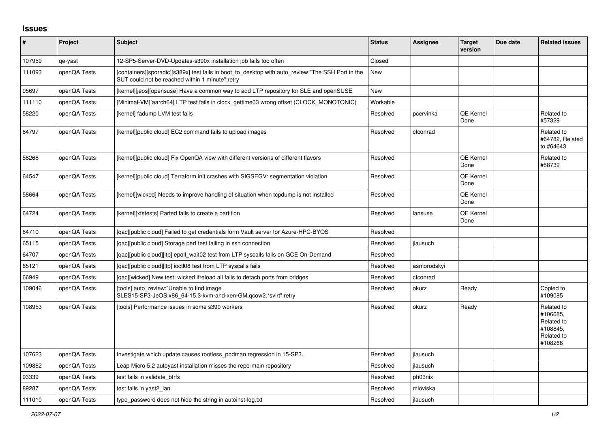## **Issues**

| ∦      | Project      | <b>Subject</b>                                                                                                                                       | <b>Status</b> | Assignee    | <b>Target</b><br>version | Due date | <b>Related issues</b>                                                     |
|--------|--------------|------------------------------------------------------------------------------------------------------------------------------------------------------|---------------|-------------|--------------------------|----------|---------------------------------------------------------------------------|
| 107959 | qe-yast      | 12-SP5-Server-DVD-Updates-s390x installation job fails too often                                                                                     | Closed        |             |                          |          |                                                                           |
| 111093 | openQA Tests | [containers][sporadic][s389x] test fails in boot_to_desktop with auto_review:"The SSH Port in the<br>SUT could not be reached within 1 minute":retry | New           |             |                          |          |                                                                           |
| 95697  | openQA Tests | [kernel][jeos][opensuse] Have a common way to add LTP repository for SLE and openSUSE                                                                | New           |             |                          |          |                                                                           |
| 111110 | openQA Tests | [Minimal-VM][aarch64] LTP test fails in clock_gettime03 wrong offset (CLOCK_MONOTONIC)                                                               | Workable      |             |                          |          |                                                                           |
| 58220  | openQA Tests | [kernel] fadump LVM test fails                                                                                                                       | Resolved      | pcervinka   | <b>QE Kernel</b><br>Done |          | Related to<br>#57329                                                      |
| 64797  | openQA Tests | [kernel][public cloud] EC2 command fails to upload images                                                                                            | Resolved      | cfconrad    |                          |          | Related to<br>#64782, Related<br>to #64643                                |
| 58268  | openQA Tests | [kernel][public cloud] Fix OpenQA view with different versions of different flavors                                                                  | Resolved      |             | <b>QE Kernel</b><br>Done |          | Related to<br>#58739                                                      |
| 64547  | openQA Tests | [kernel][public cloud] Terraform init crashes with SIGSEGV: segmentation violation                                                                   | Resolved      |             | QE Kernel<br>Done        |          |                                                                           |
| 58664  | openQA Tests | [kernel][wicked] Needs to improve handling of situation when tcpdump is not installed                                                                | Resolved      |             | <b>QE Kernel</b><br>Done |          |                                                                           |
| 64724  | openQA Tests | [kernel][xfstests] Parted fails to create a partition                                                                                                | Resolved      | lansuse     | <b>QE Kernel</b><br>Done |          |                                                                           |
| 64710  | openQA Tests | [gac][public cloud] Failed to get credentials form Vault server for Azure-HPC-BYOS                                                                   | Resolved      |             |                          |          |                                                                           |
| 65115  | openQA Tests | [gac][public cloud] Storage perf test failing in ssh connection                                                                                      | Resolved      | jlausuch    |                          |          |                                                                           |
| 64707  | openQA Tests | [qac][public cloud][ltp] epoll_wait02 test from LTP syscalls fails on GCE On-Demand                                                                  | Resolved      |             |                          |          |                                                                           |
| 65121  | openQA Tests | [qac][public cloud][ltp] ioctl08 test from LTP syscalls fails                                                                                        | Resolved      | asmorodskyi |                          |          |                                                                           |
| 66949  | openQA Tests | [qac][wicked] New test: wicked ifreload all fails to detach ports from bridges                                                                       | Resolved      | cfconrad    |                          |          |                                                                           |
| 109046 | openQA Tests | ftools] auto review:"Unable to find image<br>SLES15-SP3-JeOS.x86_64-15.3-kvm-and-xen-GM.qcow2.*svirt":retry                                          | Resolved      | okurz       | Ready                    |          | Copied to<br>#109085                                                      |
| 108953 | openQA Tests | Itools] Performance issues in some s390 workers                                                                                                      | Resolved      | okurz       | Ready                    |          | Related to<br>#106685.<br>Related to<br>#108845,<br>Related to<br>#108266 |
| 107623 | openQA Tests | Investigate which update causes rootless_podman regression in 15-SP3.                                                                                | Resolved      | jlausuch    |                          |          |                                                                           |
| 109882 | openQA Tests | Leap Micro 5.2 autoyast installation misses the repo-main repository                                                                                 | Resolved      | jlausuch    |                          |          |                                                                           |
| 93339  | openQA Tests | test fails in validate btrfs                                                                                                                         | Resolved      | ph03nix     |                          |          |                                                                           |
| 89287  | openQA Tests | test fails in yast2 lan                                                                                                                              | Resolved      | mloviska    |                          |          |                                                                           |
| 111010 | openQA Tests | type password does not hide the string in autoinst-log.txt                                                                                           | Resolved      | ilausuch    |                          |          |                                                                           |